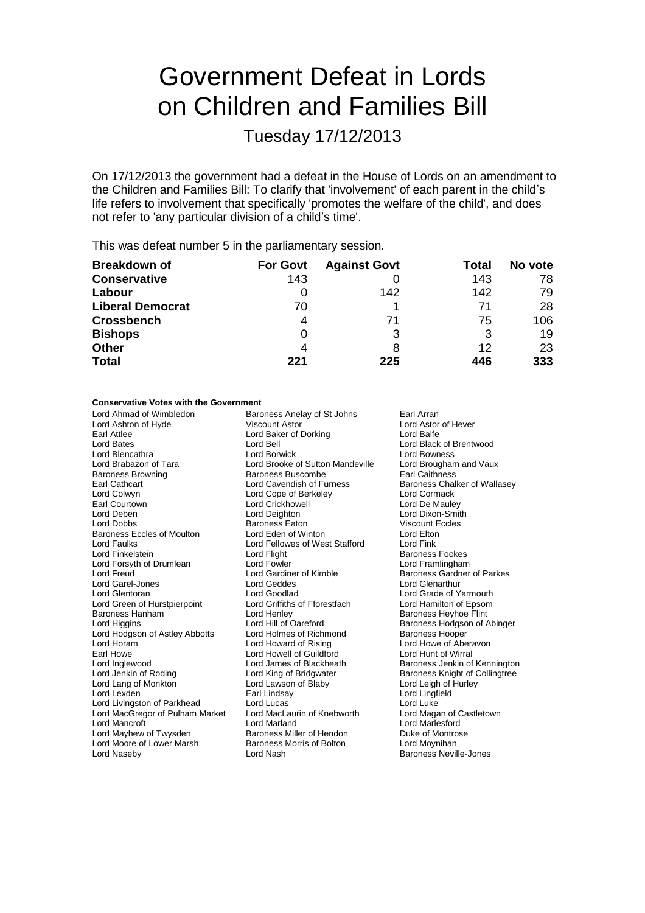# Government Defeat in Lords on Children and Families Bill

Tuesday 17/12/2013

On 17/12/2013 the government had a defeat in the House of Lords on an amendment to the Children and Families Bill: To clarify that 'involvement' of each parent in the child's life refers to involvement that specifically 'promotes the welfare of the child', and does not refer to 'any particular division of a child's time'.

This was defeat number 5 in the parliamentary session.

| <b>Breakdown of</b>     | <b>For Govt</b> | <b>Against Govt</b> | Total | No vote |
|-------------------------|-----------------|---------------------|-------|---------|
| <b>Conservative</b>     | 143             |                     | 143   | 78      |
| Labour                  |                 | 142                 | 142   | 79      |
| <b>Liberal Democrat</b> | 70              |                     |       | 28      |
| <b>Crossbench</b>       | 4               | 71                  | 75    | 106     |
| <b>Bishops</b>          | 0               |                     | 3     | 19      |
| <b>Other</b>            | 4               |                     | 12    | 23      |
| <b>Total</b>            | 221             | 225                 | 446   | 333     |

### **Conservative Votes with the Government**

Lord Ahmad of Wimbledon **Baroness Anelay of St Johns** Earl Arran<br>
Lord Ashton of Hyde **Baron Coll** Viscount Astor **Earl Arran** Earl Astor of Hever Lord Ashton of Hyde Viscount Astor Cord Astor Lord Astor Lord Astor Carl Attlee Cord Baker of Dorking Cord Balfe Earl Attlee Lord Baker of Dorking<br>
Lord Bates<br>
Lord Bell Lord Bell **Lord Black of Brentwood**<br>
Lord Borwick **Lord Bowness** Lord Blencathra Lord Borwick Lord Borwick Lord Bowness<br>
Lord Brabazon of Tara Lord Brooke of Sutton Mandeville Lord Brougham and Vaux Lord Brabazon of Tara **Lord Brooke of Sutton Mandeville** Lord Broughan<br>Baroness Browning **Commence** Browness Buscombe **Article** Earl Caithness Baroness Browning Baroness Buscombe<br>
Earl Cathcart<br>
Lord Cavendish of Furness Earl Cathcart **Earl Cathcart** Lord Cavendish of Furness Baroness Chalker of Wallasey<br>
Lord Colwyn Lord Cope of Berkeley Lord Cormack Lord Colwyn Lord Cope of Berkeley Lord Cormack Earl Courtown Lord Crickhowell<br>
Lord Deben Lord Deighton Lord Deben Lord Deighton Lord Dixon-Smith Baroness Eaton Baroness Eccles of Moulton Lord Eden of Winton Lord Elton<br>
Lord Eaulks
Lord Engles Lord Ellowes of West Stafford
Lord Fink Lord Faulks Lord Fellowes of West Stafford Lord Fink Lord Flight **Exercise Exercise Footes**<br>Lord Fowler **Baroness Exercise Exercise Footes**<br>Lord Framlingham Lord Forsyth of Drumlean Lord Fowler<br>
Lord Freud Cord Gardiner of Kimble Lord Freud **Lord Gardiner of Kimble** Baroness Gardner of Parkes<br>
Lord Garel-Jones **Connect Lord Geddes** Lord Glenarthur Lord Garel-Jones Lord Geddes Lord Glenarthur Lord Goodlad **Lord Grade of Yarmouth**<br>
Lord Griffiths of Fforestfach **Lord Hamilton of Epsom** Lord Green of Hurstpierpoint Baroness Hanham Lord Henley Baroness Heyhoe Flint Lord Hill of Oareford **Baroness Hodgson of Abinger**<br> **Lord Holmes of Richmond** Baroness Hooper Lord Hodgson of Astley Abbotts Lord Holmes of Richmond Barones<br>Lord Horam Lord Baroness Hooper Lord Horam Lord Howard of Rising Lord Howe of Aberavon Earl Howe **Lord Howell of Guildford** Cord Hunt of Wirral<br>
Lord Inglewood **Lord Lord James of Blackheath** Baroness Jenkin of Lord Inglewood **Lord James of Blackheath** Baroness Jenkin of Kennington<br>
Lord Jenkin of Roding **Baroness** Lord King of Bridgwater **Baroness Knight of Collingtree** Baroness Knight of Collingtree Lord Lang of Monkton **Lord Lawson of Blaby** Lord Lord Leigh of Hurley<br>
Lord Lexden **Lord Lord Lord Lingfield** Cord Lingfield Earl Lindsay Lord Lingfield<br>
Lord Lucas Lord Luke Lord Livingston of Parkhead Lord Lucas<br>
Lord MacGregor of Pulham Market Lord MacLaurin of Knebworth Lord Magan of Castletown Lord MacGregor of Pulham Market Lord Mancroft **Lord Marland** Lord Marland Lord Marland Lord Marlesford<br>
Lord Mayhew of Twysden **Baroness Miller of Hendon** Duke of Montrose **Example Baroness Miller of Hendon Cuke of Montron Baroness Morris of Bolton Current Communist Communist Communist Communist Communist Communist Communist Communist Communist Communist Communist Communist Communist Communi** Lord Moore of Lower Marsh Lord Naseby **Lord Nash Baroness Neville-Jones** Lord Nash Baroness Neville-Jones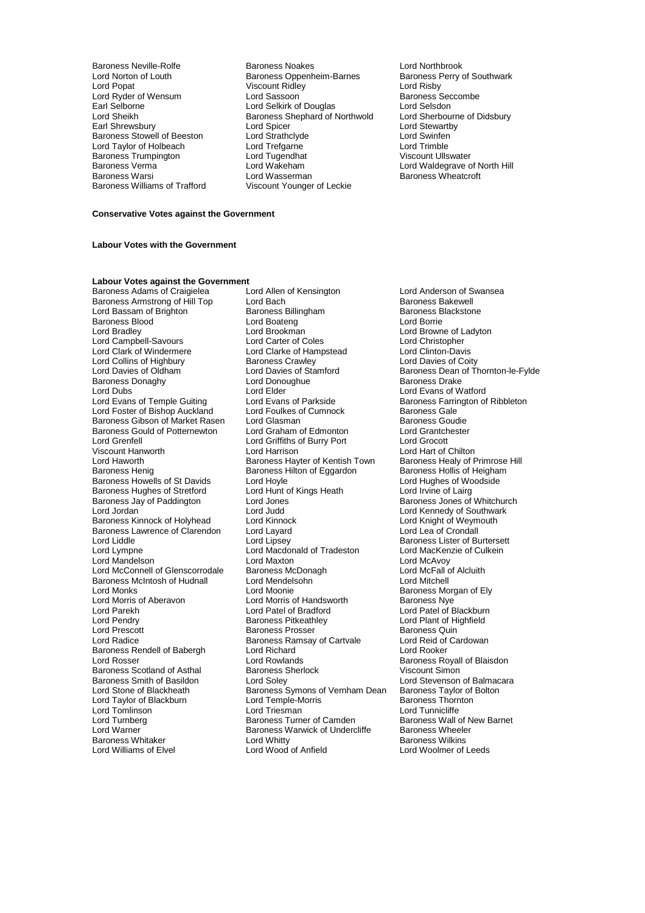Baroness Trumpington Lord Tugendhat<br>
Baroness Verma<br>
Lord Wakeham Baroness Williams of Trafford

Baroness Neville-Rolfe **Baroness Noakes** Lord Northbrook<br>
Lord Norton of Louth **Baroness Oppenheim-Barnes** Baroness Perry of Southwark Lord Norton of Louth **Baroness Oppenheim-Barnes** Baroness P<br>
Lord Popat **Baroness Contract Contract Contract South** Viscount Ridley Viscount Ridley<br>
Lord Sassoon<br>
Lord Sassoon<br>
Baroness Seccombe Lord Ryder of Wensum Lord Sassoon<br>
Lord Selverness Security Cord Selverness Security of Baroness Sec-<br>
Lord Selverness Andrew Lord Selverness Security Cord Selsdon Earl Selborne **Example 2** Lord Selkirk of Douglas **Lord Selsdon**<br>
Lord Sheikh **Communist Communist Communist Communist Communist Communist Lord Sherbourne of Didsbury** Lord Sheikh Baroness Shephard of Northwold<br>
Earl Shrewsbury **Baroness Shephard of Northwold Earl Shrewsbury Lord Stewartby<br>
Lord Strathclyde Lord Swinfen** Baroness Stowell of Beeston Lord Strathclyde Lord Swinfen Lord Taylor of Holbeach Lord Trefgarne Lord Trimble Baroness Verma Lord Wakeham Lord Waldegrave of North Hill Lord Wasserman **Baroness Wheatcroft**<br>
Viscount Younger of Leckie

## **Conservative Votes against the Government**

## **Labour Votes with the Government**

## **Labour Votes against the Government**

Baroness Armstrong of Hill Top Lord Bach Consumer Caroness Bakewell<br>
Lord Bassam of Brighton Baroness Billingham Baroness Blackstone Lord Bassam of Brighton **Baroness Billingham** Baroness Baroness Baroness Billingham Baroness B<br>Baroness Blood Borrie Baroness Blood **Lord Boateng**<br>
Lord Bradley **Lord Brookman** Lord Campbell-Savours Lord Carter of Coles Lord Christopher Lord Collins of Highbury **Baroness Crawley**<br>
Lord Davies of Oldham **Broad Lord Davies of Stamford** Baroness Donaghy Lord Donoughue Baroness Donaghy<br>
Lord Dubs<br>
Lord Elder Lord Evans of Temple Guiting Lord Evans of Parkside Baroness Farrington Cord Evans of Parkside Baroness Farrin<br>Lord Foster of Bishop Auckland Lord Foulkes of Cumnock Baroness Gale Lord Foster of Bishop Auckland Lord Foulkes of Cumnock Baroness Gale<br>Baroness Gibson of Market Rasen Lord Glasman Commence Baroness Goudie Baroness Gibson of Market Rasen Lord Glasman<br>Baroness Gould of Potternewton Lord Graham of Edmonton Lord Grantchester Baroness Gould of Potternewton Lord Graham of Edmonton Lord Grantch<br>Lord Grenfell Lord Griffiths of Burry Port Lord Grocott Lord Grenfell<br>
Viscount Hanworth Lord Harrison Viscount Hanworth **Lord Harrison** Lord Harrison **Lord Hart of Chilton**<br>
Lord Haworth **Collage Barch Barch Barch Collage Barch Collage Collage Barch Collage Collage Barch Collage Coll<br>
Barch Barch Barch Barch Barch Barch Ba** Lord Haworth **Baroness Hayter of Kentish Town** Baroness Healy of Primrose Hill<br>Baroness Henig Baroness Hilton of Eggardon Baroness Hollis of Heigham Baroness Howells of St Davids Lord Hoyle Core Lord Hughes of Wood Hughes of Woodside Lord Hughes of Woodside Lord Hunt of Kings Heath Lord Irvine of Lairg Baroness Hughes of Stretford Lord Hunt c<br>Baroness Jay of Paddington Lord Jones Baroness Jay of Paddington Lord Jones<br>
Lord Jordan Lord Judd Lord Lord Lord Kennedy of Southwark Baroness Kinnock of Holyhead Lord Kinnock Lord Knight of Weym<br>Baroness Lawrence of Clarendon Lord Layard Laward Lord Lord Lea of Crondall Baroness Lawrence of Clarendon Lord Layard<br>Lord Liddle Lord Lipsey Lord Liddle Lord Lipsey Lord Lipsey Baroness Lister of Burtersett<br>
Lord Lympne Lord Macdonald of Tradeston Lord MacKenzie of Culkein Lord Lympne Lord Macdonald of Tradeston<br>
Lord Mandelson<br>
Lord Maxton Lord McConnell of Glenscorrodale Baroness McDonagh Lord McFall Cord McFall of Alcluithell<br>Baroness McIntosh of Hudnall Lord Mendelsohn Lord Mitchell Baroness McIntosh of Hudnall Lord Mendel<br>
Lord Monks<br>
Lord Moonie Lord Monks<br>
Lord Monis of Aberavon **Lord Morris of Handsworth** Baroness Nye<br>
Lord Morris of Handsworth Baroness Nye Lord Parekh Lord Patel of Bradford Lord Patel of Blackburn Lord Pendry **Communist Communist Communist Party Communist Party Communist Communist Party Communist Party Communist Party Party Party Party Party Party Party Party Party Party Party Party Party Party Party Party Party Par** Lord Prescott Baroness Prosser Baroness Quin Baroness Rendell of Babergh Lord Richard<br>
Lord Rosser Cord Rowlands Baroness Scotland of Asthal Baroness Sherlock Baroness Smith of Basildon<br>
Lord Soley Baroness Smith of Basildon Lord Soley Lord Stevenson of Balmacara<br>
Lord Stevenson of Blackheath Baroness Symons of Vernham Dean Baroness Taylor of Bolton Lord Taylor of Blackburn and Lord Temple-Morris and Baroness Thorn<br>Lord Tomlinson and Lord Tresman and Lord Tunnicliffe Lord Tomlinson Lord Triesman Lord Tunnicliffe Lord Turnberg **Baroness Turner of Camden** Baroness Wall of New Baroness Wall of New Baroness Warwick of Undercliffe Baroness Wheeler Lord Warner The Baroness Warwick of Undercliffe<br>
Baroness Whitaker<br>
Lord Whitty

Baroness Adams of Craigielea Lord Allen of Kensington Lord Anderson of Swansea<br>Baroness Armstrong of Hill Top Lord Bach Cord Baroness Bakewell Lord Brookman **Lord Browne of Ladyton**<br>
Lord Carter of Coles **Lord Christopher** Lord Clarke of Hampstead Lord Clinton-Davis<br>Baroness Crawley Lord Davies of Coity Lord Davies of Stamford<br>
Lord Donoughue Baroness Drake<br>
Baroness Drake Lord Elder **Lord Elder** Lord Evans of Watford<br>
Lord Evans of Parkside **Lord Example Baroness Farrington of Ribbleton** Baroness Hilton of Eggardon Baroness Hollis of Heighar<br>
Baroness Hollis of Hoghes of Woodside Lord Jordan Lord Judd Lord Kennedy of Southwark Lord Maxton Lord Maxton Lord McAvoy<br>
Baroness McDonagh Lord McFall of Alcluith Lord Morris of Handsworth<br>Lord Patel of Bradford Baroness Ramsay of Cartvale Lord Reid of Lord Richard<br>
Lord Richard Cartvale Lord Rooker Lord Rowlands<br>
Baroness Sherlock<br>
Baroness Sherlock<br>
Viscount Simon Baroness Symons of Vernham Dean Baroness Taylor of Lord Temple-Morris **Baroness Thornton** Baroness Whitaker **Exercise Server Lord Whitty** Baroness Wilkins<br>
Lord Williams of Elvel **Baroness Cord Wood of Anfield** Elect Woolmer of L Lord Wood of Anfield Lord Woolmer of Leeds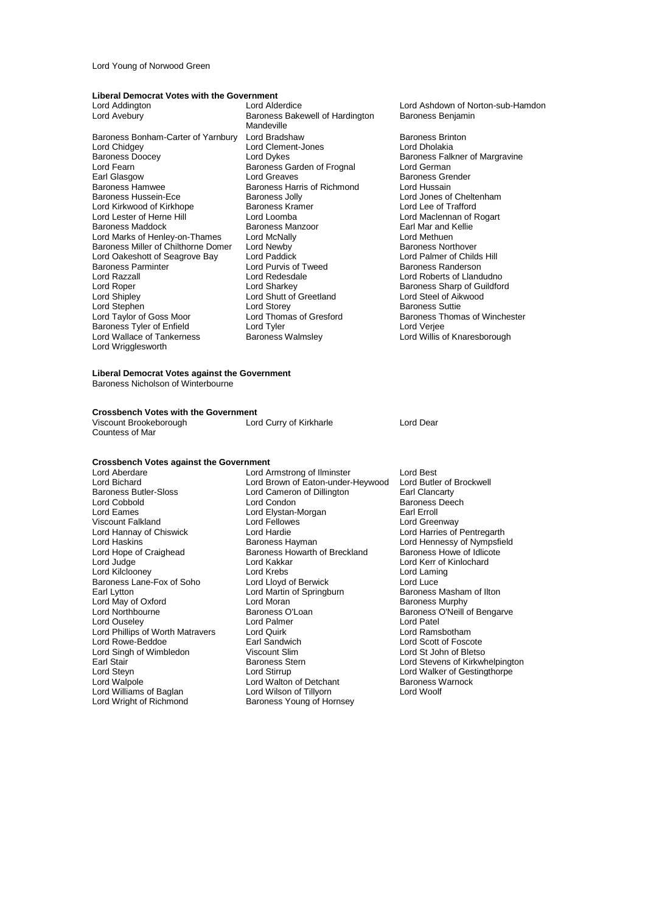Lord Young of Norwood Green

## **Liberal Democrat Votes with the Government**

Baroness Bonham-Carter of Yarnbury Lord Bradshaw Baroness Brinton<br>
Lord Chidgey Lord Clement-Jones Lord Dholakia Lord Chidgey Lord Clement-Jones<br>
Baroness Doocey Lord Dykes Baroness Doocey **Exercise Section Lord Dykes** Baroness Falkner of Margravine<br>Lord Fearn **Baroness Garden of Frognal** Lord German Lord Fearn Tearn Baroness Garden of Frognal Lord Geaves<br>Earl Glasgow Earl Lord Greaves Earl Glasgow **Lord Greaves** Community Baroness Grender<br>
Baroness Hammed Baroness Harris of Richmond Lord Hussain Baroness Hamwee<br>Baroness Hussein-Ece Baroness Jolly<br>Baroness Jolly Lord Kirkwood of Kirkhope Baroness Kramer Baroness Kramer Lord Loomba Baroness Maddock Baroness Manzoor Earl Mar and I<br>
Lord Marks of Henley-on-Thames Lord McNally Cord Methuen Lord Marks of Henley-on-Thames Lord McNally Lord Methuen<br>
Baroness Miller of Chilthorne Domer Lord Newby Controlled Martin Baroness Northover Baroness Miller of Chilthorne Domer Lord Newby **Baroness Not Baroness Northover**<br>Lord Oakeshott of Seagrove Bay Bord Paddick **Baroness Northoness Northover** Lord Oakeshott of Seagrove Bay Lord Paddick Lord Palmer of Childs Baroness Parminter Lord Palmer of Childs Hill<br>Baroness Parminter Lord Purvis of Tweed Baroness Randerson Baroness Parminter **Exercise Section** Lord Purvis of Tweed Lord Razzall Lord Razzall Lord Redesdale Lord Roberts of Llandudno Lord Roper **Lord Sharkey** Lord Sharkey **Baroness Sharp of Guildford**<br>
Lord Sharp of Guildford<br>
Lord Steel of Aikwood Lord Shipley Lord Shutt of Greetland<br>
Lord Stephen Lord Storey Lord Stephen Lord Storey Baroness Suttie Baroness Tyler of Enfield **Lord Tyler<br>
Lord Wallace of Tankerness** Baroness Walmsley Lord Wrigglesworth

Baroness Bakewell of Hardington Mandeville Baroness Jolly **Communist Constructs** Lord Jones of Cheltenham<br>
Baroness Kramer<br>
Lord Lee of Trafford Lord Loomba<br>
Baroness Manzoor **Lord Maclennan of Rogart**<br>
Earl Mar and Kellie

Lord Addington **Lord Alderdice** Lord Ashdown of Norton-sub-Hamdon<br>
Lord Avebury **Constant Construent Bandon**<br>
Lord Avebury **Construent Bandon**<br>
Baroness Benjamin

Lord Thomas of Gresford<br>
Lord Tyler<br>
Lord Veriee<br>
Lord Veriee Lord Willis of Knaresborough

## **Liberal Democrat Votes against the Government**

Baroness Nicholson of Winterbourne

**Crossbench Votes with the Government**<br>Viscount Brookeborough Lord Curry of Kirkharle Viscount Brookeborough Lord Curry of Kirkharle Lord Dear Countess of Mar

## **Crossbench Votes against the Government**

Baroness Butler-Sloss Lord Cameron of Dillington<br>
Lord Cohdon<br>
Lord Condon Lord Hannay of Chiswick Lord Hardie<br>Lord Haskins **Lord Harries Communist Cord Harries** Pentregarthe Lord Hope of Craighead Baroness Howarth of Breckland<br>
Lord Kakkar<br>
Lord Kakkar Lord May of Oxford Lord Moran Lord Moran Lord Moran Lord Moran Lord Moran Lord Moran Lord Murphy Baroness O'Loan Lord Singh of Wimbledon Viscount Slim<br>
Farl Stair<br>
Paroness Stern Lord Williams of Baglan

Lord Aberdare **Lord Armstrong of Ilminster** Lord Best<br>
Lord Bichard **Lord Brown of Eaton-under-Heywood** Lord Butler of Brockwell Lord Bichard Lord Brown of Eaton-under-Heywood Lord Butler of<br>Baroness Butler-Sloss Lord Cameron of Dillington Earl Clancarty Lord Cobbold **Lord Condon**<br>
Lord Communication Lord External Lord External Lord Extending Lord Extending Condon<br>
Lord External Lord Extension Communication Communication Lord Extending Lord Extending Lord Extending Lord Ex Lord Elystan-Morgan Earl Erroll<br>
Earl Erroll<br>
Lord Fellowes Earl Erroll Earl Erroll Viscount Falkland Lord Tellowes (Controller School Lord Greenway Lord Greenway<br>Lord Hannay of Chiswick Lord Hardie Lord Harries of Pentregarth Lord Haskins **Baroness Hayman** Lord Hennessy of Nympsfield Lord Hennessy of Nympsfield<br>
Lord Hope of Craighead **Baroness Howarth of Breckland** Baroness Howe of Idlicote Lord Kakkar **Lord Kerr of Kinlochard**<br>
Lord Krebs **Lord Laming** Lord Kilclooney **Lord Lord Krebs** Lord Cord Laming Lord Laming Lord Laming Lord Laming Lord Luce Lord Luce Lord Luce Baroness Lane-Fox of Soho Lord Lloyd of Berwick Lord Luce Lord Luce Lord Luce Lord Luce Lord Luce Lord Luce Lord Martin of Springburn Lord Martin Saroness Masham of Ilton Earl Martin of Springburn Baroness Mashar<br>
Lord Moran **Baroness Murphy** Baroness O'Loan Baroness O'Neill of Bengarve<br>
Lord Palmer<br>
Lord Patel Lord Ouseley **Lord Patel** Lord Palmer **Lord Patel** Lord Patel Lord Phillips of Worth Matravers Lord Quirk Lord Ramsbotham Lord Rowe-Beddoe **Earl Sandwich** Earl Sandwich **Earl Scott of Foscote**<br>
Lord Singh of Wimbledon **Earl Scount Slim Earl Steam Constant Constant Constant Constant Constant Constant Constant** Earl Stair **Earl Stair Baroness Stern Earl Stair Earl Stair Earl Stair Baroness Stern Earl Stevens of Kirkwhelpington**<br>
Eord Stevens Cord Stevens and Cord Stevens and Cord Stevens of Gestingthorpe Lord Steyn **Lord Stirrup** Lord Stirrup Lord Cord Walker of Gestingthorpe<br>
Lord Walpole **Lord Walton of Detchant** Baroness Warnock Lord Walton of Detchant Baroness V<br>
Lord Wilson of Tillvorn Baroness Warnock Lord Wright of Richmond Baroness Young of Hornsey